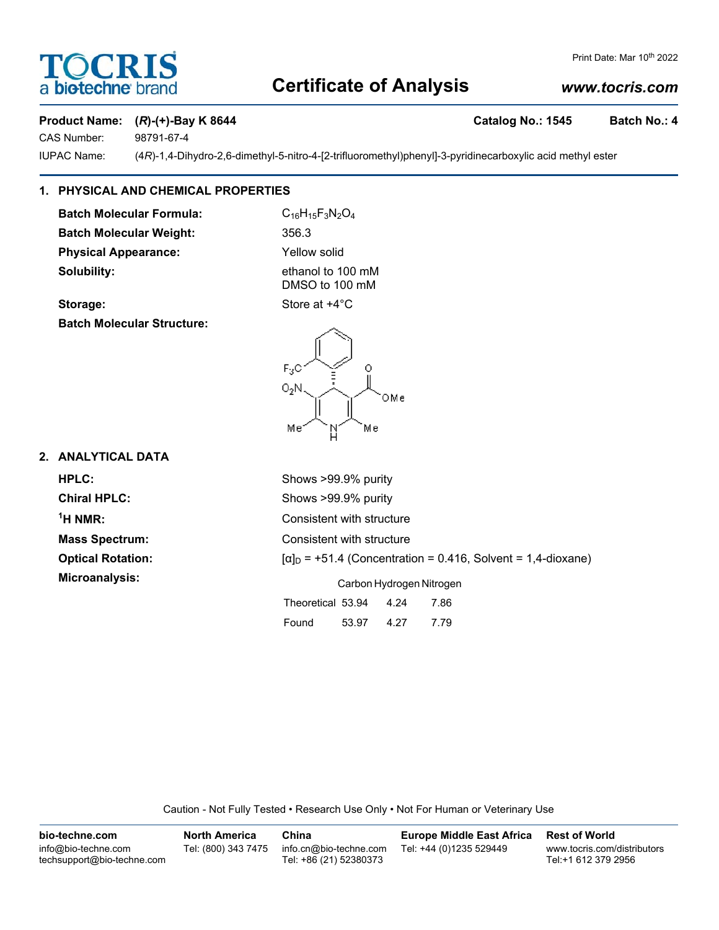# **DCRI** a biotechne

## Print Date: Mar 10th 2022

# **Certificate of Analysis**

# *www.tocris.com*

# Product Name: (*R*)-(+)-Bay K 8644 **Catalog No.: 1545** Batch No.: 4

CAS Number: 98791-67-4

IUPAC Name: (4*R*)-1,4-Dihydro-2,6-dimethyl-5-nitro-4-[2-trifluoromethyl)phenyl]-3-pyridinecarboxylic acid methyl ester

# **1. PHYSICAL AND CHEMICAL PROPERTIES**

**Batch Molecular Formula:** C<sub>16</sub>H<sub>15</sub>F<sub>3</sub>N<sub>2</sub>O<sub>4</sub> **Batch Molecular Weight:** 356.3 **Physical Appearance:** Yellow solid **Solubility:** ethanol to 100 mM

DMSO to 100 mM

**Storage:** Store at  $+4^{\circ}$ C

**Batch Molecular Structure:**



# **2. ANALYTICAL DATA**

| HPLC:                    | Shows >99.9% purity                                                 |  |  |  |
|--------------------------|---------------------------------------------------------------------|--|--|--|
| <b>Chiral HPLC:</b>      | Shows >99.9% purity                                                 |  |  |  |
| $1H NMR$ :               | Consistent with structure                                           |  |  |  |
| <b>Mass Spectrum:</b>    | Consistent with structure                                           |  |  |  |
| <b>Optical Rotation:</b> | $[\alpha]_D$ = +51.4 (Concentration = 0.416, Solvent = 1,4-dioxane) |  |  |  |
| Microanalysis:           | Carbon Hydrogen Nitrogen                                            |  |  |  |
|                          | Theoretical 53.94<br>4.24<br>7.86                                   |  |  |  |
|                          | Found<br>4.27<br>53.97<br>7.79                                      |  |  |  |

Caution - Not Fully Tested • Research Use Only • Not For Human or Veterinary Use

| bio-techne.com                                    | <b>North America</b> | China                                            | <b>Europe Middle East Africa</b> | <b>Rest of World</b>                               |
|---------------------------------------------------|----------------------|--------------------------------------------------|----------------------------------|----------------------------------------------------|
| info@bio-techne.com<br>techsupport@bio-techne.com | Tel: (800) 343 7475  | info.cn@bio-techne.com<br>Tel: +86 (21) 52380373 | Tel: +44 (0)1235 529449          | www.tocris.com/distributors<br>Tel:+1 612 379 2956 |